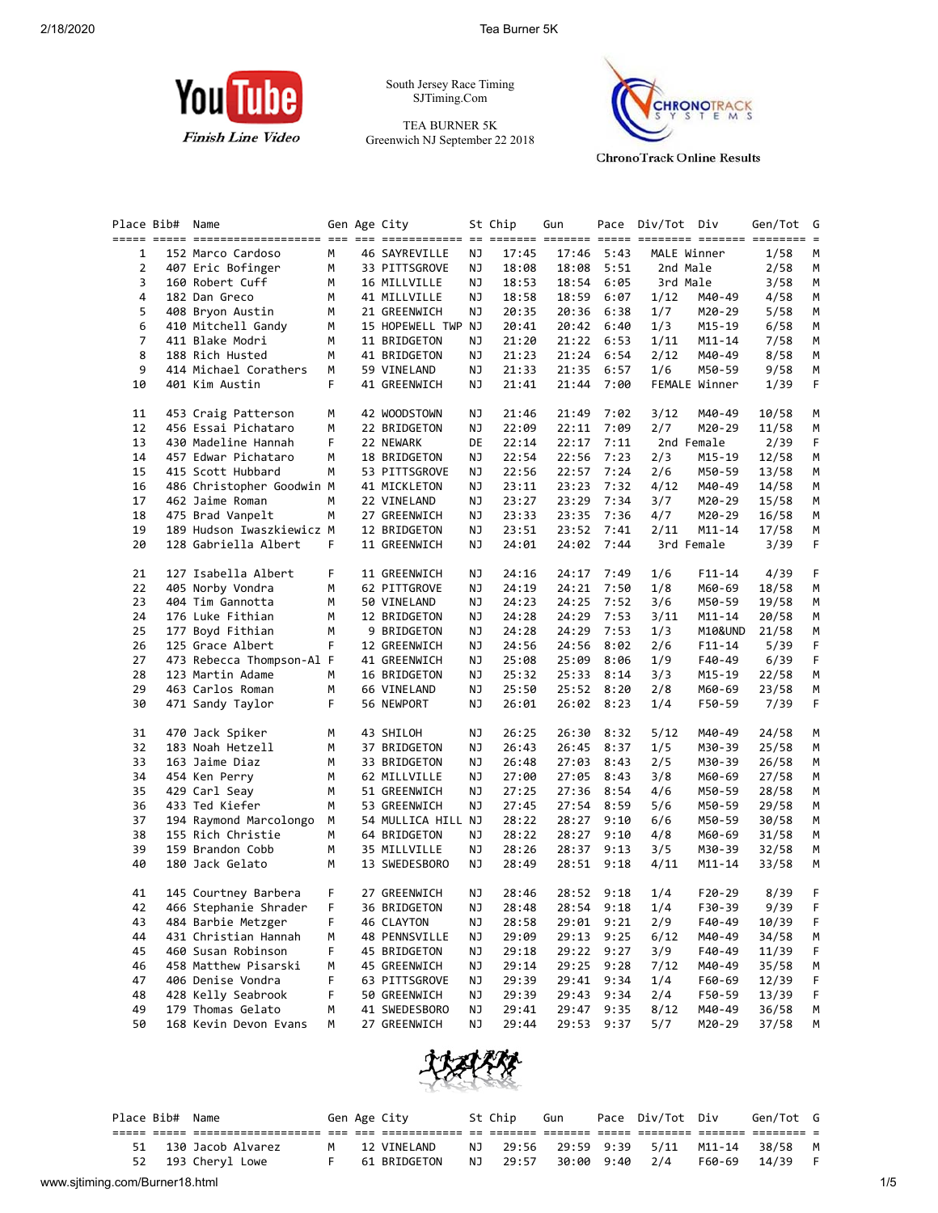

South Jersey Race Timing SJTiming.Com

TEA BURNER 5K Greenwich NJ September 22 2018



**ChronoTrack Online Results** 

| Place Bib# | Name                      |    | Gen Age City         |    | St Chip | Gun        |      | Pace Div/Tot Div |               | Gen/Tot | G<br>$=$ |
|------------|---------------------------|----|----------------------|----|---------|------------|------|------------------|---------------|---------|----------|
| 1          | 152 Marco Cardoso         | М  | <b>46 SAYREVILLE</b> | ΝJ | 17:45   | 17:46      | 5:43 |                  | MALE Winner   | 1/58    | М        |
| 2          | 407 Eric Bofinger         | М  | 33 PITTSGROVE        | ΝJ | 18:08   | 18:08      | 5:51 |                  | 2nd Male      | 2/58    | М        |
| 3          | 160 Robert Cuff           | М  | 16 MILLVILLE         | ΝJ | 18:53   | 18:54      | 6:05 |                  | 3rd Male      | 3/58    | М        |
| 4          | 182 Dan Greco             | м  | 41 MILLVILLE         | ΝJ | 18:58   | 18:59      | 6:07 | 1/12             | M40-49        | 4/58    | М        |
| 5          | 408 Bryon Austin          | м  | 21 GREENWICH         | ΝJ | 20:35   | 20:36      | 6:38 | 1/7              | M20-29        | 5/58    | М        |
| 6          | 410 Mitchell Gandy        | м  | 15 HOPEWELL TWP NJ   |    | 20:41   | 20:42      | 6:40 | 1/3              | M15-19        | 6/58    | М        |
| 7          | 411 Blake Modri           | м  | 11 BRIDGETON         | ΝJ | 21:20   | 21:22      | 6:53 | 1/11             | M11-14        | 7/58    | М        |
| 8          | 188 Rich Husted           | м  | 41 BRIDGETON         | ΝJ | 21:23   | 21:24      | 6:54 | 2/12             | M40-49        | 8/58    | М        |
| 9          | 414 Michael Corathers     | м  | 59 VINELAND          | ΝJ | 21:33   | 21:35      | 6:57 | 1/6              | M50-59        | 9/58    | М        |
| 10         | 401 Kim Austin            | F. | 41 GREENWICH         | ΝJ | 21:41   | 21:44      | 7:00 |                  | FEMALE Winner | 1/39    | F.       |
| 11         | 453 Craig Patterson       | м  | 42 WOODSTOWN         | ΝJ | 21:46   | 21:49      | 7:02 | 3/12             | M40-49        | 10/58   | M        |
| 12         | 456 Essai Pichataro       | м  | 22 BRIDGETON         | ΝJ | 22:09   | 22:11      | 7:09 | 2/7              | M20-29        | 11/58   | М        |
| 13         | 430 Madeline Hannah       | F. | 22 NEWARK            | DE | 22:14   | 22:17      | 7:11 |                  | 2nd Female    | 2/39    | F.       |
| 14         | 457 Edwar Pichataro       | М  | 18 BRIDGETON         | ΝJ | 22:54   | 22:56      | 7:23 | 2/3              | M15-19        | 12/58   | М        |
| 15         | 415 Scott Hubbard         | м  | 53 PITTSGROVE        | ΝJ | 22:56   | 22:57      | 7:24 | 2/6              | M50-59        | 13/58   | М        |
| 16         | 486 Christopher Goodwin M |    | 41 MICKLETON         | ΝJ | 23:11   | 23:23      | 7:32 | 4/12             | M40-49        | 14/58   | М        |
| 17         | 462 Jaime Roman           | м  | 22 VINELAND          | ΝJ | 23:27   | 23:29      | 7:34 | 3/7              | M20-29        | 15/58   | М        |
| 18         | 475 Brad Vanpelt          | м  | 27 GREENWICH         | ΝJ | 23:33   | 23:35      | 7:36 | 4/7              | M20-29        | 16/58   | М        |
| 19         | 189 Hudson Iwaszkiewicz M |    | 12 BRIDGETON         | ΝJ | 23:51   | 23:52      | 7:41 | 2/11             | M11-14        | 17/58   | М        |
| 20         | 128 Gabriella Albert      | F. | 11 GREENWICH         | ΝJ | 24:01   | 24:02      | 7:44 |                  | 3rd Female    | 3/39    | F        |
| 21         | 127 Isabella Albert       | F. | 11 GREENWICH         | ΝJ | 24:16   | 24:17      | 7:49 | 1/6              | $F11 - 14$    | 4/39    | F.       |
| 22         | 405 Norby Vondra          | М  | 62 PITTGROVE         | ΝJ | 24:19   | 24:21      | 7:50 | 1/8              | M60-69        | 18/58   | М        |
| 23         | 404 Tim Gannotta          | М  | 50 VINELAND          | ΝJ | 24:23   | 24:25      | 7:52 | 3/6              | M50-59        | 19/58   | М        |
| 24         | 176 Luke Fithian          | М  | 12 BRIDGETON         | ΝJ | 24:28   | 24:29      | 7:53 | 3/11             | $M11 - 14$    | 20/58   | М        |
| 25         | 177 Boyd Fithian          | м  | 9 BRIDGETON          | ΝJ | 24:28   | 24:29      | 7:53 | 1/3              | M10&UND       | 21/58   | М        |
| 26         | 125 Grace Albert          | F  | 12 GREENWICH         | ΝJ | 24:56   | 24:56      | 8:02 | 2/6              | $F11 - 14$    | 5/39    | F.       |
| 27         | 473 Rebecca Thompson-Al F |    | 41 GREENWICH         | ΝJ | 25:08   | 25:09      | 8:06 | 1/9              | F40-49        | 6/39    | F.       |
| 28         | 123 Martin Adame          | М  | 16 BRIDGETON         | ΝJ | 25:32   | 25:33      | 8:14 | 3/3              | M15-19        | 22/58   | М        |
| 29         | 463 Carlos Roman          | м  | 66 VINELAND          | ΝJ | 25:50   | 25:52      | 8:20 | 2/8              | M60-69        | 23/58   | М        |
| 30         | 471 Sandy Taylor          | F  | 56 NEWPORT           | ΝJ | 26:01   | 26:02      | 8:23 | 1/4              | F50-59        | 7/39    | F.       |
| 31         | 470 Jack Spiker           | м  | 43 SHILOH            | ΝJ | 26:25   | 26:30      | 8:32 | 5/12             | M40-49        | 24/58   | M        |
| 32         | 183 Noah Hetzell          | М  | 37 BRIDGETON         | ΝJ | 26:43   | 26:45      | 8:37 | 1/5              | M30-39        | 25/58   | M        |
| 33         | 163 Jaime Diaz            | м  | 33 BRIDGETON         | ΝJ | 26:48   | 27:03      | 8:43 | 2/5              | M30-39        | 26/58   | M        |
| 34         | 454 Ken Perry             | м  | 62 MILLVILLE         | ΝJ | 27:00   | 27:05      | 8:43 | 3/8              | M60-69        | 27/58   | М        |
| 35         | 429 Carl Seay             | м  | 51 GREENWICH         | ΝJ | 27:25   | 27:36      | 8:54 | 4/6              | M50-59        | 28/58   | М        |
| 36         | 433 Ted Kiefer            | М  | 53 GREENWICH         | ΝJ | 27:45   | 27:54      | 8:59 | 5/6              | M50-59        | 29/58   | М        |
| 37         | 194 Raymond Marcolongo    | М  | 54 MULLICA HILL NJ   |    | 28:22   | 28:27      | 9:10 | 6/6              | M50-59        | 30/58   | М        |
| 38         | 155 Rich Christie         | м  | 64 BRIDGETON         | ΝJ | 28:22   | 28:27      | 9:10 | 4/8              | M60-69        | 31/58   | М        |
| 39         | 159 Brandon Cobb          | М  | 35 MILLVILLE         | ΝJ | 28:26   | 28:37      | 9:13 | 3/5              | M30-39        | 32/58   | M        |
| 40         | 180 Jack Gelato           | M  | 13 SWEDESBORO        | ΝJ | 28:49   | 28:51      | 9:18 | 4/11             | M11-14        | 33/58   | М        |
| 41         | 145 Courtney Barbera      | F  | 27 GREENWICH         | ΝJ | 28:46   | 28:52 9:18 |      | 1/4              | $F20-29$      | 8/39    | F.       |
| 42         | 466 Stephanie Shrader     | F  | 36 BRIDGETON         | ΝJ | 28:48   | 28:54 9:18 |      | 1/4              | F30-39        | 9/39    | F        |
| 43         | 484 Barbie Metzger        | F  | 46 CLAYTON           | ΝJ | 28:58   | 29:01      | 9:21 | 2/9              | F40-49        | 10/39   | F        |
| 44         | 431 Christian Hannah      | м  | 48 PENNSVILLE        | ΝJ | 29:09   | 29:13      | 9:25 | 6/12             | M40-49        | 34/58   | M        |
| 45         | 460 Susan Robinson        | F  | 45 BRIDGETON         | ΝJ | 29:18   | 29:22      | 9:27 | 3/9              | F40-49        | 11/39   | F        |
| 46         | 458 Matthew Pisarski      | M  | 45 GREENWICH         | ΝJ | 29:14   | 29:25      | 9:28 | 7/12             | M40-49        | 35/58   | M        |
| 47         | 406 Denise Vondra         | F  | 63 PITTSGROVE        | ΝJ | 29:39   | 29:41      | 9:34 | 1/4              | F60-69        | 12/39   | F        |
| 48         | 428 Kelly Seabrook        | F  | 50 GREENWICH         | ΝJ | 29:39   | 29:43      | 9:34 | 2/4              | F50-59        | 13/39   | F        |
| 49         | 179 Thomas Gelato         | м  | 41 SWEDESBORO        | ΝJ | 29:41   | 29:47      | 9:35 | 8/12             | M40-49        | 36/58   | M        |
| 50         | 168 Kevin Devon Evans     | М  | 27 GREENWICH         | ΝJ | 29:44   | 29:53      | 9:37 | 5/7              | M20-29        | 37/58   | м        |



|                                |    | Place Bib# Name |                    |   | Gen Age City |    | St Chip | Gun            | Pace Div/Tot Div             |        | Gen/Tot G |     |
|--------------------------------|----|-----------------|--------------------|---|--------------|----|---------|----------------|------------------------------|--------|-----------|-----|
|                                |    |                 |                    |   |              |    |         |                |                              |        |           |     |
|                                | 51 |                 | 130 Jacob Alvarez  | M | 12 VINELAND  | NJ |         |                | 29:56 29:59 9:39 5/11 M11-14 |        | 38/58     |     |
|                                |    |                 | 52 193 Cheryl Lowe |   | 61 BRIDGETON | NJ | 29:57   | 30:00 9:40 2/4 |                              | F60-69 | 14/39     |     |
| www.sjtiming.com/Burner18.html |    |                 |                    |   |              |    |         |                |                              |        |           | 1/5 |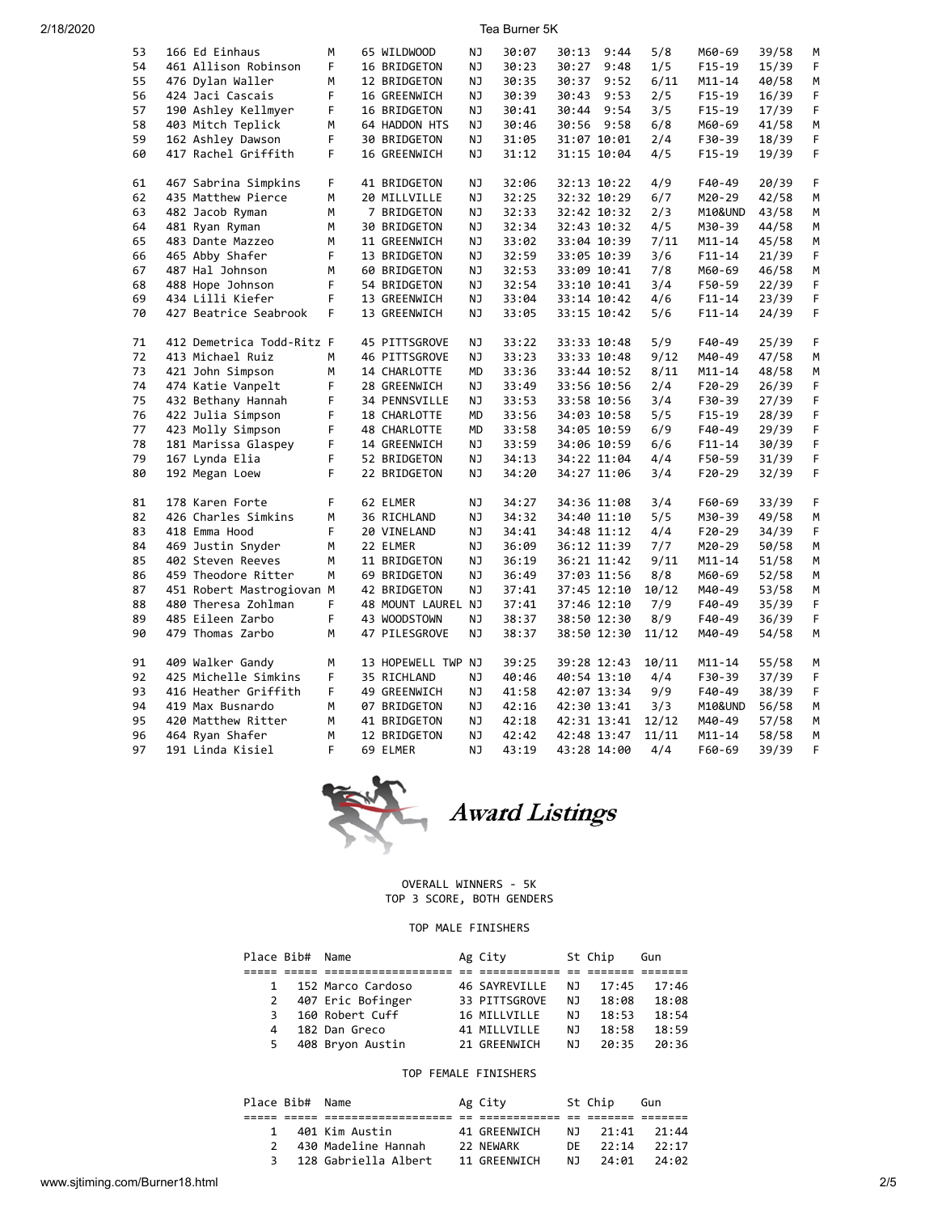| 53 | 166 Ed Einhaus            | M  | 65 WILDWOOD        | ΝJ | 30:07 | 30:13 | 9:44        | 5/8   | M60-69     | 39/58 | М  |
|----|---------------------------|----|--------------------|----|-------|-------|-------------|-------|------------|-------|----|
| 54 | 461 Allison Robinson      | F. | 16 BRIDGETON       | NJ | 30:23 | 30:27 | 9:48        | 1/5   | F15-19     | 15/39 | F  |
| 55 | 476 Dylan Waller          | М  | 12 BRIDGETON       | ΝJ | 30:35 | 30:37 | 9:52        | 6/11  | $M11 - 14$ | 40/58 | М  |
| 56 | 424 Jaci Cascais          | F  | 16 GREENWICH       | ΝJ | 30:39 | 30:43 | 9:53        | 2/5   | $F15-19$   | 16/39 | F  |
| 57 | 190 Ashley Kellmyer       | F  | 16 BRIDGETON       | NJ | 30:41 | 30:44 | 9:54        | 3/5   | F15-19     | 17/39 | F  |
| 58 | 403 Mitch Teplick         | М  | 64 HADDON HTS      | ΝJ | 30:46 | 30:56 | 9:58        | 6/8   | M60-69     | 41/58 | М  |
| 59 | 162 Ashley Dawson         | F  | 30 BRIDGETON       | ΝJ | 31:05 |       | 31:07 10:01 | 2/4   | F30-39     | 18/39 | F  |
| 60 | 417 Rachel Griffith       | F  | 16 GREENWICH       | NJ | 31:12 |       | 31:15 10:04 | 4/5   | $F15-19$   | 19/39 | F  |
|    |                           |    |                    |    |       |       |             |       |            |       |    |
| 61 | 467 Sabrina Simpkins      | F  | 41 BRIDGETON       | ΝJ | 32:06 |       | 32:13 10:22 | 4/9   | F40-49     | 20/39 | F  |
| 62 | 435 Matthew Pierce        | M  | 20 MILLVILLE       | NJ | 32:25 |       | 32:32 10:29 | 6/7   | M20-29     | 42/58 | М  |
| 63 | 482 Jacob Ryman           | M  | 7 BRIDGETON        | NJ | 32:33 |       | 32:42 10:32 | 2/3   | M10&UND    | 43/58 | M  |
| 64 | 481 Ryan Ryman            | М  | 30 BRIDGETON       | ΝJ | 32:34 |       | 32:43 10:32 | 4/5   | M30-39     | 44/58 | М  |
| 65 | 483 Dante Mazzeo          | M  | 11 GREENWICH       | ΝJ | 33:02 |       | 33:04 10:39 | 7/11  | $M11 - 14$ | 45/58 | М  |
| 66 | 465 Abby Shafer           | F  | 13 BRIDGETON       | NJ | 32:59 |       | 33:05 10:39 | 3/6   | F11-14     | 21/39 | F  |
| 67 | 487 Hal Johnson           | М  | 60 BRIDGETON       | ΝJ | 32:53 |       | 33:09 10:41 | 7/8   | M60-69     | 46/58 | М  |
| 68 | 488 Hope Johnson          | F  | 54 BRIDGETON       | ΝJ | 32:54 |       | 33:10 10:41 | 3/4   | F50-59     | 22/39 | F  |
| 69 | 434 Lilli Kiefer          | F  | 13 GREENWICH       | NJ | 33:04 |       | 33:14 10:42 | 4/6   | $F11 - 14$ | 23/39 | F  |
| 70 | 427 Beatrice Seabrook     | F. | 13 GREENWICH       | NJ | 33:05 |       | 33:15 10:42 | 5/6   | $F11 - 14$ | 24/39 | F. |
|    |                           |    |                    |    |       |       |             |       |            |       |    |
| 71 | 412 Demetrica Todd-Ritz F |    | 45 PITTSGROVE      | NJ | 33:22 |       | 33:33 10:48 | 5/9   | F40-49     | 25/39 | F  |
| 72 | 413 Michael Ruiz          | M  | 46 PITTSGROVE      | ΝJ | 33:23 |       | 33:33 10:48 | 9/12  | M40-49     | 47/58 | M  |
| 73 | 421 John Simpson          | M  | 14 CHARLOTTE       | MD | 33:36 |       | 33:44 10:52 | 8/11  | $M11 - 14$ | 48/58 | М  |
| 74 | 474 Katie Vanpelt         | F  | 28 GREENWICH       | ΝJ | 33:49 |       | 33:56 10:56 | 2/4   | F20-29     | 26/39 | F  |
| 75 | 432 Bethany Hannah        | F  | 34 PENNSVILLE      | NJ | 33:53 |       | 33:58 10:56 | 3/4   | F30-39     | 27/39 | F  |
| 76 | 422 Julia Simpson         | F  | 18 CHARLOTTE       | MD | 33:56 |       | 34:03 10:58 | 5/5   | $F15-19$   | 28/39 | F  |
| 77 | 423 Molly Simpson         | F  | 48 CHARLOTTE       | MD | 33:58 |       | 34:05 10:59 | 6/9   | F40-49     | 29/39 | F  |
| 78 | 181 Marissa Glaspey       | F  | 14 GREENWICH       | ΝJ | 33:59 |       | 34:06 10:59 | 6/6   | $F11 - 14$ | 30/39 | F  |
| 79 | 167 Lynda Elia            | F  | 52 BRIDGETON       | ΝJ | 34:13 |       | 34:22 11:04 | 4/4   | F50-59     | 31/39 | F  |
| 80 | 192 Megan Loew            | F  | 22 BRIDGETON       | ΝJ | 34:20 |       | 34:27 11:06 | 3/4   | F20-29     | 32/39 | F  |
|    |                           |    |                    |    |       |       |             |       |            |       |    |
| 81 | 178 Karen Forte           | F. | 62 ELMER           | NJ | 34:27 |       | 34:36 11:08 | 3/4   | F60-69     | 33/39 | F. |
| 82 | 426 Charles Simkins       | М  | 36 RICHLAND        | NJ | 34:32 |       | 34:40 11:10 | 5/5   | M30-39     | 49/58 | М  |
| 83 | 418 Emma Hood             | F  | 20 VINELAND        | ΝJ | 34:41 |       | 34:48 11:12 | 4/4   | F20-29     | 34/39 | F  |
| 84 | 469 Justin Snyder         | M  | 22 ELMER           | NJ | 36:09 |       | 36:12 11:39 | 7/7   | M20-29     | 50/58 | M  |
| 85 | 402 Steven Reeves         | М  | 11 BRIDGETON       | ΝJ | 36:19 |       | 36:21 11:42 | 9/11  | M11-14     | 51/58 | М  |
| 86 | 459 Theodore Ritter       | M  | 69 BRIDGETON       | ΝJ | 36:49 |       | 37:03 11:56 | 8/8   | M60-69     | 52/58 | М  |
| 87 | 451 Robert Mastrogiovan M |    | 42 BRIDGETON       | NJ | 37:41 |       | 37:45 12:10 | 10/12 | M40-49     | 53/58 | M  |
| 88 | 480 Theresa Zohlman       | F  | 48 MOUNT LAUREL NJ |    | 37:41 |       | 37:46 12:10 | 7/9   | F40-49     | 35/39 | F  |
| 89 | 485 Eileen Zarbo          | F  | 43 WOODSTOWN       | ΝJ | 38:37 |       | 38:50 12:30 | 8/9   | F40-49     | 36/39 | F  |
| 90 | 479 Thomas Zarbo          | M  | 47 PILESGROVE      | NJ | 38:37 |       | 38:50 12:30 | 11/12 | M40-49     | 54/58 | M  |
| 91 | 409 Walker Gandy          | M  | 13 HOPEWELL TWP NJ |    | 39:25 |       | 39:28 12:43 | 10/11 | $M11 - 14$ | 55/58 | М  |
| 92 | 425 Michelle Simkins      | F  | 35 RICHLAND        | NJ | 40:46 |       | 40:54 13:10 | 4/4   | F30-39     | 37/39 | F  |
| 93 | 416 Heather Griffith      | F  | 49 GREENWICH       | NJ | 41:58 |       | 42:07 13:34 | 9/9   | F40-49     | 38/39 | F. |
| 94 | 419 Max Busnardo          | M  | 07 BRIDGETON       | ΝJ | 42:16 |       | 42:30 13:41 | 3/3   | M10&UND    | 56/58 | М  |
| 95 | 420 Matthew Ritter        | M  | 41 BRIDGETON       | NJ | 42:18 |       | 42:31 13:41 | 12/12 | M40-49     | 57/58 | M  |
| 96 | 464 Ryan Shafer           | M  | 12 BRIDGETON       | NJ | 42:42 |       | 42:48 13:47 | 11/11 | $M11 - 14$ | 58/58 | M  |
| 97 | 191 Linda Kisiel          | F  | 69 ELMER           | ΝJ | 43:19 |       | 43:28 14:00 | 4/4   | F60-69     | 39/39 | F  |
|    |                           |    |                    |    |       |       |             |       |            |       |    |



## OVERALL WINNERS - 5K TOP 3 SCORE, BOTH GENDERS

# TOP MALE FINISHERS

|   | Place Bib# Name |                   | Ag City          |     | St Chip | Gun   |
|---|-----------------|-------------------|------------------|-----|---------|-------|
|   |                 |                   |                  |     |         |       |
|   |                 | 152 Marco Cardoso | 46 SAYREVILLE    | NJ. | 17:45   | 17:46 |
|   | $2^{\circ}$     | 407 Eric Bofinger | 33 PITTSGROVE    | N J | 18:08   | 18:08 |
|   | 3               | 160 Robert Cuff   | 16 MILLVILLE     | NJ. | 18:53   | 18:54 |
| 4 |                 | 182 Dan Greco     | 41 MTI I VTI I F | NJ. | 18:58   | 18:59 |
|   | 5.              | 408 Bryon Austin  | 21 GREENWICH     | NJ. | 20:35   | 20:36 |

## TOP FEMALE FINISHERS

| Place Bib# Name |                        | Ag City      |     | St Chip  | Gun   |
|-----------------|------------------------|--------------|-----|----------|-------|
|                 |                        |              |     |          |       |
|                 | 1 401 Kim Austin       | 41 GREENWICH |     | NT 21:41 | 21:44 |
|                 | 430 Madeline Hannah    | 22 NFWARK    | DE. | 22:14    | 22.17 |
|                 | 3 128 Gabriella Albert | 11 GREENWICH | N T | 24:01    | 24:02 |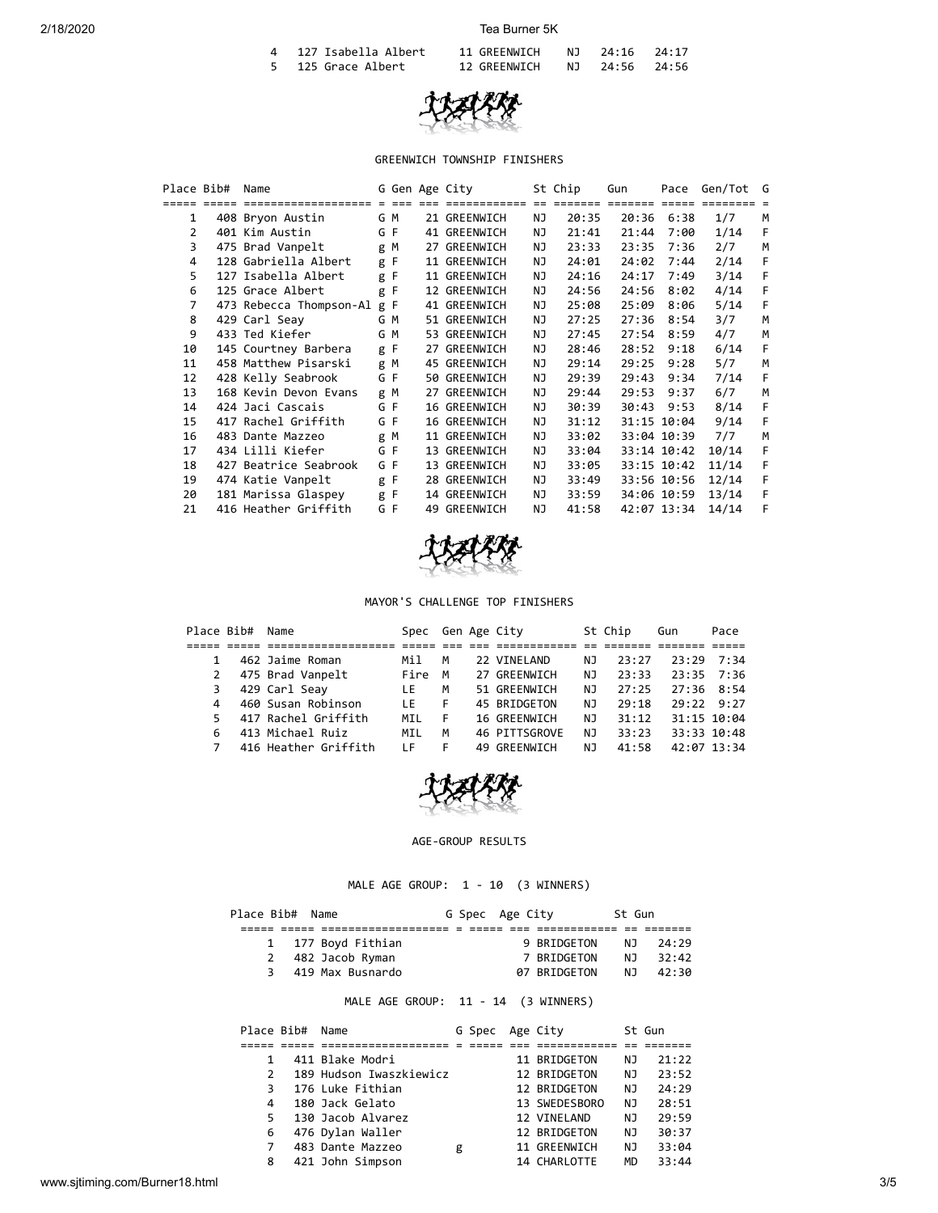| 4 127 Isabella Albert | 11 GREENWICH | NJ 24:16 24:17 |  |
|-----------------------|--------------|----------------|--|
| 5 125 Grace Albert    | 12 GREENWICH | NJ 24:56 24:56 |  |



# GREENWICH TOWNSHIP FINISHERS

| Place Bib#     | Name                        |     |     |                             | G Gen Age City |           | St Chip    | Gun     | Pace                | Gen/Tot G |   |
|----------------|-----------------------------|-----|-----|-----------------------------|----------------|-----------|------------|---------|---------------------|-----------|---|
|                | ==================          |     |     | $=$ $=$ $=$ $=$ $=$ $=$ $=$ | ==========     |           | ee eessess | ======= | $=$ $=$ $=$ $=$ $=$ |           |   |
| $\mathbf{1}$   | 408 Bryon Austin            |     | G M |                             | 21 GREENWICH   | ΝJ        | 20:35      | 20:36   | 6:38                | 1/7       | M |
| 2              | 401 Kim Austin              |     | G F |                             | 41 GREENWICH   | NJ        | 21:41      | 21:44   | 7:00                | 1/14      | F |
| 3              | 475 Brad Vanpelt            |     | g M |                             | 27 GREENWICH   | ΝJ        | 23:33      | 23:35   | 7:36                | 2/7       | M |
| 4              | 128 Gabriella Albert        | g F |     |                             | 11 GREENWICH   | ΝJ        | 24:01      | 24:02   | 7:44                | 2/14      | F |
| 5              | 127 Isabella Albert         | g F |     |                             | 11 GREENWICH   | ΝJ        | 24:16      | 24:17   | 7:49                | 3/14      | F |
| 6              | 125 Grace Albert            | g F |     |                             | 12 GREENWICH   | ΝJ        | 24:56      | 24:56   | 8:02                | 4/14      | F |
| $\overline{7}$ | 473 Rebecca Thompson-Al g F |     |     |                             | 41 GREENWICH   | <b>NJ</b> | 25:08      | 25:09   | 8:06                | 5/14      | F |
| 8              | 429 Carl Seav               |     | G M |                             | 51 GREENWICH   | ΝJ        | 27:25      | 27:36   | 8:54                | 3/7       | M |
| 9              | 433 Ted Kiefer              |     | G M |                             | 53 GREENWICH   | ΝJ        | 27:45      | 27:54   | 8:59                | 4/7       | M |
| 10             | 145 Courtney Barbera        | g F |     |                             | 27 GREENWICH   | ΝJ        | 28:46      | 28:52   | 9:18                | 6/14      | F |
| 11             | 458 Matthew Pisarski        |     | g M |                             | 45 GREENWICH   | ΝJ        | 29:14      | 29:25   | 9:28                | 5/7       | M |
| 12             | 428 Kelly Seabrook          |     | G F |                             | 50 GREENWICH   | ΝJ        | 29:39      | 29:43   | 9:34                | 7/14      | F |
| 13             | 168 Kevin Devon Evans       | g M |     |                             | 27 GREENWICH   | NJ        | 29:44      | 29:53   | 9:37                | 6/7       | M |
| 14             | 424 Jaci Cascais            | G F |     |                             | 16 GREENWICH   | ΝJ        | 30:39      | 30:43   | 9:53                | 8/14      | F |
| 15             | 417 Rachel Griffith         |     | G F |                             | 16 GREENWICH   | ΝJ        | 31:12      |         | 31:15 10:04         | 9/14      | F |
| 16             | 483 Dante Mazzeo            |     | g M |                             | 11 GREENWICH   | ΝJ        | 33:02      |         | 33:04 10:39         | 7/7       | M |
| 17             | 434 Lilli Kiefer            | G F |     |                             | 13 GREENWICH   | ΝJ        | 33:04      |         | 33:14 10:42         | 10/14     | F |
| 18             | 427 Beatrice Seabrook       | G F |     |                             | 13 GREENWICH   | ΝJ        | 33:05      |         | 33:15 10:42         | 11/14     | F |
| 19             | 474 Katie Vanpelt           | g F |     |                             | 28 GREENWICH   | NJ.       | 33:49      |         | 33:56 10:56         | 12/14     | F |
| 20             | 181 Marissa Glaspey         | g F |     |                             | 14 GREENWICH   | ΝJ        | 33:59      |         | 34:06 10:59         | 13/14     | F |
| 21             | 416 Heather Griffith        | G F |     |                             | 49 GREENWICH   | <b>NJ</b> | 41:58      |         | 42:07 13:34         | 14/14     | F |



#### MAYOR'S CHALLENGE TOP FINISHERS

| Place Bib# | Name                 | Spec |   | Gen Age City  |     | St Chip | Gun         | Pace           |
|------------|----------------------|------|---|---------------|-----|---------|-------------|----------------|
|            |                      |      |   |               |     |         |             |                |
|            | 462 Jaime Roman      | Mil  | M | 22 VINELAND   | NJ. | 23:27   |             | $73:29$ $7:34$ |
|            | 475 Brad Vanpelt     | Fire | M | 27 GREENWICH  | NJ. | 23:33   |             | $23:35$ $7:36$ |
| 3          | 429 Carl Seav        | I F. | M | 51 GREENWICH  | NJ. | 27:25   |             | $27:36$ 8:54   |
| 4          | 460 Susan Robinson   | I F. | F | 45 BRIDGETON  | NJ. | 29:18   |             | 79:229:27      |
|            | 417 Rachel Griffith  | MIL  |   | 16 GREENWICH  | NJ. | 31:12   |             | 31:15 10:04    |
|            | 413 Michael Ruiz     | MIL  | м | 46 PITTSGROVE | NJ. | 33:23   |             | 33:33 10:48    |
|            | 416 Heather Griffith | ΙF   |   | 49 GREENWICH  | NJ. | 41:58   | 42:07 13:34 |                |



#### AGE-GROUP RESULTS

MALE AGE GROUP: 1 - 10 (3 WINNERS)

| Place Bib# Name<br>G Spec Age City<br>St Gun |  |                    |  |  |              |     |       |  |
|----------------------------------------------|--|--------------------|--|--|--------------|-----|-------|--|
|                                              |  |                    |  |  |              |     |       |  |
|                                              |  | 1 177 Boyd Fithian |  |  | 9 BRIDGETON  | N J | 24:29 |  |
|                                              |  | 2 482 Jacob Ryman  |  |  | 7 BRIDGETON  | N J | 32:42 |  |
|                                              |  | 3 419 Max Busnardo |  |  | 07 BRIDGETON | NJ. | 42:30 |  |
|                                              |  |                    |  |  |              |     |       |  |

# MALE AGE GROUP: 11 - 14 (3 WINNERS)

|               | Place Bib# | Name                    |   | G Spec | Age City      |           | St Gun |
|---------------|------------|-------------------------|---|--------|---------------|-----------|--------|
|               |            |                         |   |        |               |           |        |
|               |            | 411 Blake Modri         |   |        | 11 BRIDGETON  | ΝJ        | 21:22  |
| $\mathcal{P}$ |            | 189 Hudson Iwaszkiewicz |   |        | 12 BRIDGETON  | ΝJ        | 23:52  |
| 3             |            | 176 Luke Fithian        |   |        | 12 BRIDGETON  | ΝJ        | 24:29  |
| 4             |            | 180 Jack Gelato         |   |        | 13 SWEDESBORO | ΝJ        | 28:51  |
| 5             |            | 130 Jacob Alvarez       |   |        | 12 VINELAND   | ΝJ        | 29:59  |
| 6             |            | 476 Dylan Waller        |   |        | 12 BRIDGETON  | ΝJ        | 30:37  |
|               |            | 483 Dante Mazzeo        | g |        | 11 GREENWICH  | ΝJ        | 33:04  |
| 8             |            | 421 John Simpson        |   |        | 14 CHARLOTTE  | <b>MD</b> | 33:44  |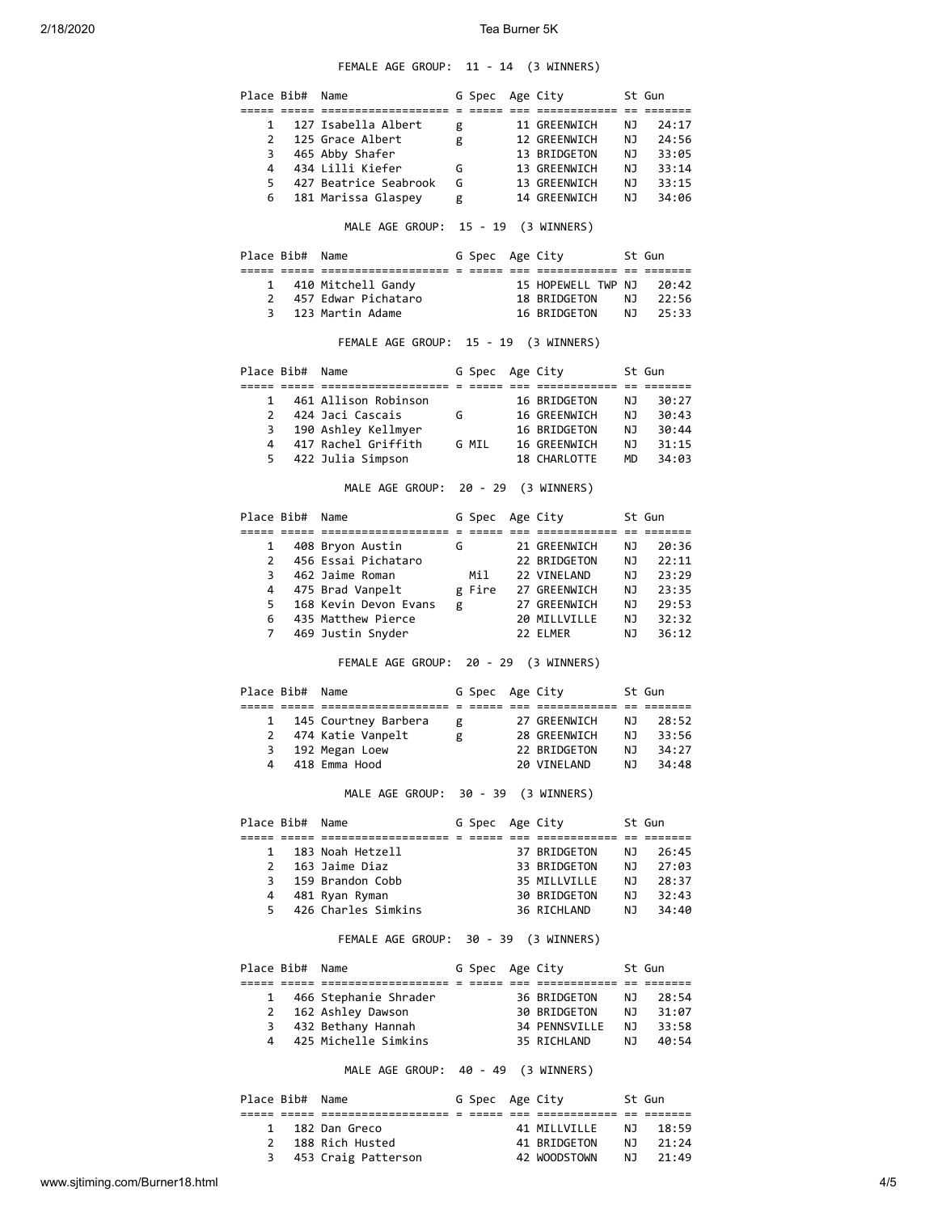## FEMALE AGE GROUP: 11 - 14 (3 WINNERS)

| Place Bib#          |                 | Name                                                    |   | G Spec                              | Age City                                                    |          | St Gun               |
|---------------------|-----------------|---------------------------------------------------------|---|-------------------------------------|-------------------------------------------------------------|----------|----------------------|
| 1                   |                 | ===== ===== ====================<br>127 Isabella Albert | g |                                     | <u>s soore oop oppoponomense op opponom</u><br>11 GREENWICH | ΝJ       | 24:17                |
| $\mathbf{2}$        |                 | 125 Grace Albert                                        | g |                                     | 12 GREENWICH                                                | ΝJ       | 24:56                |
| 3                   |                 | 465 Abby Shafer                                         |   |                                     | 13 BRIDGETON                                                | ΝJ       | 33:05                |
| 4                   |                 | 434 Lilli Kiefer                                        | G |                                     | 13 GREENWICH                                                | ΝJ       | 33:14                |
| 5                   |                 | 427 Beatrice Seabrook                                   | G |                                     | 13 GREENWICH                                                | NJ       | 33:15                |
| 6                   |                 | 181 Marissa Glaspey                                     | g |                                     | 14 GREENWICH                                                | NJ       | 34:06                |
|                     |                 |                                                         |   |                                     |                                                             |          |                      |
|                     |                 | MALE AGE GROUP: 15 - 19 (3 WINNERS)                     |   |                                     |                                                             |          |                      |
|                     | Place Bib#      | Name                                                    |   | G Spec Age City                     |                                                             |          | St Gun               |
|                     |                 | 1 410 Mitchell Gandy                                    |   |                                     | 15 HOPEWELL TWP NJ                                          |          | 20:42                |
| $\overline{2}$      |                 | 457 Edwar Pichataro                                     |   |                                     | 18 BRIDGETON                                                | NJ       | 22:56                |
| 3                   |                 | 123 Martin Adame                                        |   |                                     | 16 BRIDGETON                                                | NJ       | 25:33                |
|                     |                 | FEMALE AGE GROUP: 15 - 19 (3 WINNERS)                   |   |                                     |                                                             |          |                      |
|                     | Place Bib#      | Name                                                    |   | G Spec Age City                     |                                                             |          | St Gun               |
|                     |                 | ==============================                          |   | $=$ $=$ $=$ $=$ $=$ $=$ $=$ $=$ $=$ | ========== == =======                                       |          |                      |
| $\mathbf{1}$        |                 | 461 Allison Robinson                                    |   |                                     | 16 BRIDGETON                                                | NJ       | 30:27                |
|                     |                 | 2 424 Jaci Cascais                                      | G |                                     | 16 GREENWICH                                                | ΝJ       | 30:43                |
|                     |                 | 3 190 Ashley Kellmyer                                   |   |                                     | 16 BRIDGETON                                                | NJ       | 30:44                |
|                     |                 | 4 417 Rachel Griffith                                   |   | G MIL                               | 16 GREENWICH                                                | NJ       | 31:15                |
| 5.                  |                 | 422 Julia Simpson                                       |   |                                     | 18 CHARLOTTE                                                | MD       | 34:03                |
|                     |                 | MALE AGE GROUP: 20 - 29 (3 WINNERS)                     |   |                                     |                                                             |          |                      |
|                     | Place Bib#      | Name                                                    |   | G Spec                              | Age City                                                    |          | St Gun               |
|                     |                 |                                                         |   | G                                   | 21 GREENWICH                                                | ΝJ       |                      |
| 1                   |                 | 408 Bryon Austin<br>456 Essai Pichataro                 |   |                                     |                                                             |          | 20:36                |
| $\mathbf{2}$<br>3   |                 |                                                         |   |                                     | 22 BRIDGETON                                                | ΝJ       | 22:11                |
|                     |                 | 462 Jaime Roman                                         |   | Mil                                 | 22 VINELAND                                                 | ΝJ       | 23:29                |
| 4                   |                 | 475 Brad Vanpelt                                        |   | g Fire                              | 27 GREENWICH                                                | ΝJ       | 23:35                |
| 5                   |                 | 168 Kevin Devon Evans                                   | g |                                     | 27 GREENWICH                                                | NJ       | 29:53                |
| 6<br>$\overline{7}$ |                 | 435 Matthew Pierce<br>469 Justin Snyder                 |   |                                     | 20 MILLVILLE<br>22 ELMER                                    | NJ<br>ΝJ | 32:32<br>36:12       |
|                     |                 | FEMALE AGE GROUP: 20 - 29 (3 WINNERS)                   |   |                                     |                                                             |          |                      |
|                     |                 |                                                         |   |                                     |                                                             |          |                      |
|                     | Place Bib#      | Name                                                    |   | G Spec                              | Age City                                                    |          | St Gun               |
|                     |                 |                                                         |   |                                     |                                                             |          |                      |
| $\mathbf{1}$        |                 | 145 Courtney Barbera                                    | g |                                     | 27 GREENWICH                                                | ΝJ       | 28:52                |
| 2                   |                 | 474 Katie Vanpelt                                       | g |                                     | 28 GREENWICH                                                | NJ       | 33:56                |
| 3                   |                 | 192 Megan Loew                                          |   |                                     | 22 BRIDGETON                                                | NJ       | 34:27                |
| 4                   |                 | 418 Emma Hood                                           |   |                                     | 20 VINELAND                                                 | ΝJ       | 34:48                |
|                     |                 | MALE AGE GROUP: 30 - 39 (3 WINNERS)                     |   |                                     |                                                             |          |                      |
|                     |                 | Place Bib# Name                                         |   |                                     | G Spec Age City                                             |          | St Gun               |
|                     |                 |                                                         |   |                                     |                                                             |          |                      |
| $\mathbf{1}$        |                 | 183 Noah Hetzell                                        |   |                                     | 37 BRIDGETON                                                | NJ       | 26:45                |
| $\overline{2}$      |                 | 163 Jaime Diaz                                          |   |                                     | 33 BRIDGETON                                                | NJ 1     | 27:03                |
|                     |                 | 3 159 Brandon Cobb                                      |   |                                     | 35 MILLVILLE                                                |          | NJ 28:37<br>NJ 32:43 |
|                     |                 | 4 481 Ryan Ryman                                        |   |                                     | 30 BRIDGETON                                                |          |                      |
|                     |                 | 5 426 Charles Simkins                                   |   |                                     | 36 RICHLAND                                                 | NJ 1     | 34:40                |
|                     |                 | FEMALE AGE GROUP: 30 - 39 (3 WINNERS)                   |   |                                     |                                                             |          |                      |
|                     | Place Bib# Name |                                                         |   |                                     | G Spec Age City                                             |          | St Gun               |
|                     |                 |                                                         |   |                                     |                                                             |          |                      |
| $\mathbf{1}$        |                 | 466 Stephanie Shrader                                   |   |                                     | 36 BRIDGETON                                                | NJ       | 28:54                |
| $\mathbf{2}$        |                 | 162 Ashley Dawson                                       |   |                                     | 30 BRIDGETON                                                | NJ<br>NJ | 31:07                |
| 3                   |                 | 432 Bethany Hannah                                      |   |                                     | 34 PENNSVILLE                                               |          | 33:58                |
| 4                   |                 | 425 Michelle Simkins                                    |   |                                     | 35 RICHLAND                                                 | NJ O     | 40:54                |
|                     |                 | MALE AGE GROUP: 40 - 49 (3 WINNERS)                     |   |                                     |                                                             |          |                      |
|                     | Place Bib#      | Name                                                    |   | G Spec Age City                     |                                                             |          | St Gun               |